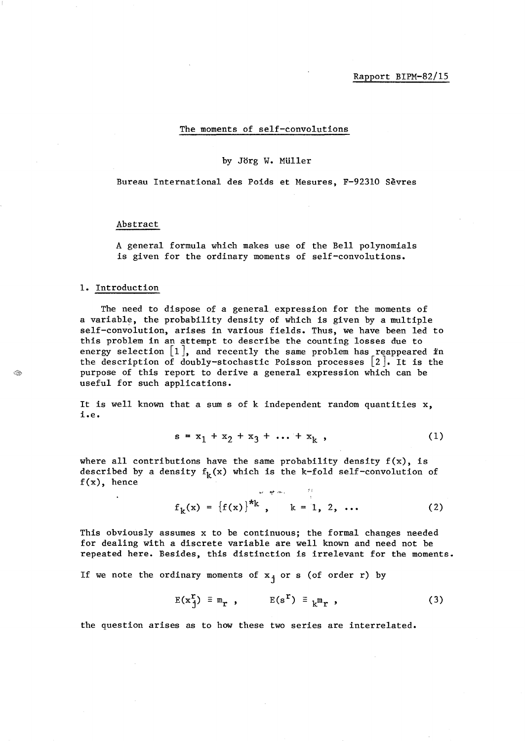The moments of self-convolutions

#### by Jorg W. MUller

Bureau International des Poids et Mesures, F-92310 Sevres

#### Abstract

A general formula which makes use of the Bell polynomials is given for the ordinary moments of self-convolutions.

### 1. Introduction

 $\cdot$ 

The need to dispose of a general expression for the moments of a variable, the probability density of which is given by a multiple self-convolution, arises in various fields. Thus, we have been led to this problem in an attempt to describe the counting losses due to energy selection  $[1]$ , and recently the same problem has reappeared in the description of doubly-stochastic Poisson processes  $[2]$ . It is the purpose of this report to derive a general expression which can be useful for such applications.

It is well known that a sum s of k independent random quantities  $x$ , **i.e.** 

$$
s = x_1 + x_2 + x_3 + \dots + x_k , \qquad (1)
$$

where all contributions have the same probability density  $f(x)$ , is described by a density  $f_k(x)$  which is the k-fold self-convolution of  $f(x)$ , hence

$$
f_k(x) = \{f(x)\}^{*k}, \qquad k = 1, 2, ...
$$
 (2)

This obviously assumes x to be continuous; the formal changes needed for dealing with a discrete variable are well known and need not be repeated here. Besides, this distinction is irrelevant for the moments.

If we note the ordinary moments of  $x_j$  or s (of order r) by

$$
E(x_{j}^{r}) \equiv m_{r} , \qquad E(s^{r}) \equiv {m_{r} , \qquad (3)}
$$

the question arises as to how these two series are interrelated.

S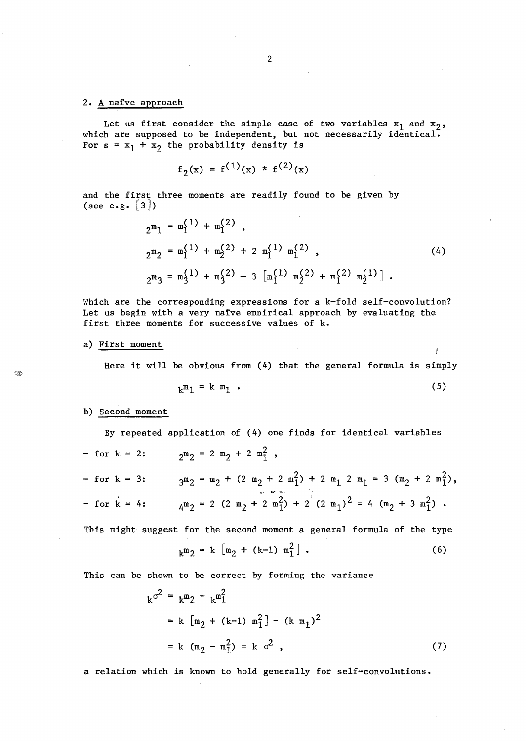### 2. A naïve approach

Let us first consider the simple case of two variables  $x_1$  and  $x_2'$ , which are supposed to be independent, but not necessarily identical. For  $s = x_1 + x_2$  the probability density is

$$
f_2(x) = f^{(1)}(x) * f^{(2)}(x)
$$

and the first three moments are readily found to be given by (see e.g.  $|3|$ )

$$
2^{m_1} = m_1^{(1)} + m_1^{(2)},
$$
  
\n
$$
2^{m_2} = m_1^{(1)} + m_2^{(2)} + 2 m_1^{(1)} m_1^{(2)},
$$
  
\n
$$
2^{m_3} = m_3^{(1)} + m_3^{(2)} + 3 [m_1^{(1)} m_2^{(2)} + m_1^{(2)} m_2^{(1)}].
$$
\n(4)

Which are the corresponding expressions for a k-fold self-convolution? Let us begin with a very naïve empirical approach by evaluating the first three moments for successive values of k.

### a) First moment

Here it will be obvious from (4) that the general formula is simply

$$
k^m1 = k^m1 \tag{5}
$$

#### b) Second moment

By repeated application of (4) one finds for identical variables  $2^m 2 = 2 m_2 + 2 m_1^2$ , - for  $k = 2$ : - for k = 3:  $3^m 2 = m_2 + (2 m_2 + 2 m_1^2) + 2 m_1 2 m_1 = 3 (m_2 + 2 m_1^2)$ ,  $4^m2 = 2(2 m_2 + 2 m_1^2) + 2(2 m_1)^2 = 4(m_2 + 3 m_1^2)$ . - for  $k = 4$ :

This might suggest for the second moment a general formula of the type

$$
k^{m}2 = k [m_{2} + (k-1) m_{1}^{2}].
$$
 (6)

This can be shown to be correct by forming the variance

$$
k^{\sigma^2} = k^m 2 - k^m 1^2
$$
  
=  $k [m_2 + (k-1) m_1^2] - (k m_1)^2$   
=  $k (m_2 - m_1^2) = k \sigma^2$ , (7)

a relation which is known to hold generally for self-convolutions.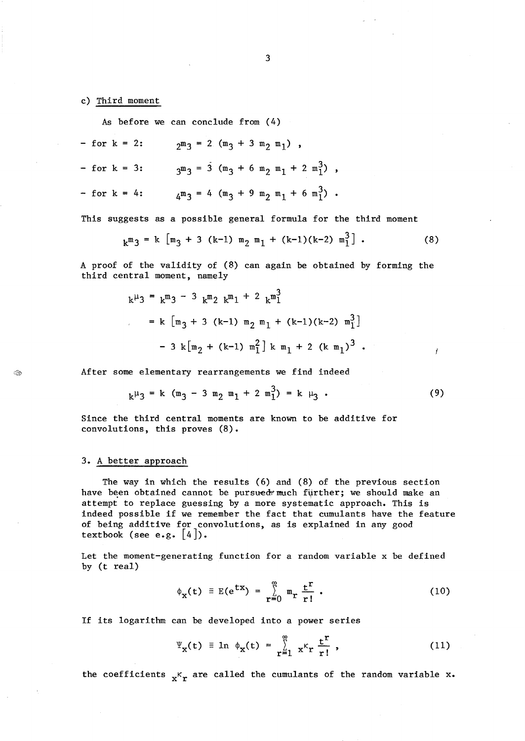c) Third moment

As before we can conclude from (4)

$$
-
$$
 for  $k = 2$ :  $2^m 3 = 2 (m_3 + 3 m_2 m_1)$ ,

$$
- for k = 3: \t 3m3 = 3 (m3 + 6 m2 m1 + 2 m13),
$$

- for k = 4: 
$$
4^m_3 = 4 (m_3 + 9 m_2 m_1 + 6 m_1^3)
$$
.

This suggests as a possible general formula for the third moment

$$
k^{m}3 = k [m_{3} + 3 (k-1) m_{2} m_{1} + (k-1)(k-2) m_{1}^{3}].
$$
 (8)

A proof of the validity of (8) can again be obtained by forming the third central moment, namely

$$
k^{\mu}3 = k^{\mu}3 - 3 k^{\mu}2 k^{\mu}1 + 2 k^{\mu}1
$$
  
= k [m<sub>3</sub> + 3 (k-1) m<sub>2</sub> m<sub>1</sub> + (k-1)(k-2) m<sub>1</sub><sup>3</sup>]  
- 3 k[m<sub>2</sub> + (k-1) m<sub>1</sub><sup>2</sup>] k m<sub>1</sub> + 2 (k m<sub>1</sub>)<sup>3</sup>.

After some elementary rearrangements we find indeed

$$
k^{\mu}3 = k (m_3 - 3 m_2 m_1 + 2 m_1^3) = k \mu_3.
$$
 (9)

I

Since the third central moments are known to be additive for convolutions, this proves (8).

## 3. A better approach

 $<\,$ 

The way in which the results (6) and (8) of the previous section have been obtained cannot be pursued much further; we should make an attempt to replace guessing by a more systematic approach. This is indeed possible if we remember the fact that cumulants have the feature of being additive for convolutions, as is explained in any good textbook (see e.g.  $[4]$ ).

Let the moment-generating function for a random variable x be defined by (t real)

$$
\phi_{\mathbf{x}}(t) \equiv E(e^{tx}) = \sum_{r=0}^{\infty} m_r \frac{t^r}{r!} \; . \tag{10}
$$

If its logarithm can be developed into a power series

$$
\Psi_{\mathbf{x}}(\mathbf{t}) \equiv \ln \phi_{\mathbf{x}}(\mathbf{t}) = \sum_{r=1}^{\infty} \mathbf{x}^r \frac{\mathbf{t}^r}{r!},
$$
 (11)

the coefficients  $x<sup>K</sup>r$  are called the cumulants of the random variable x.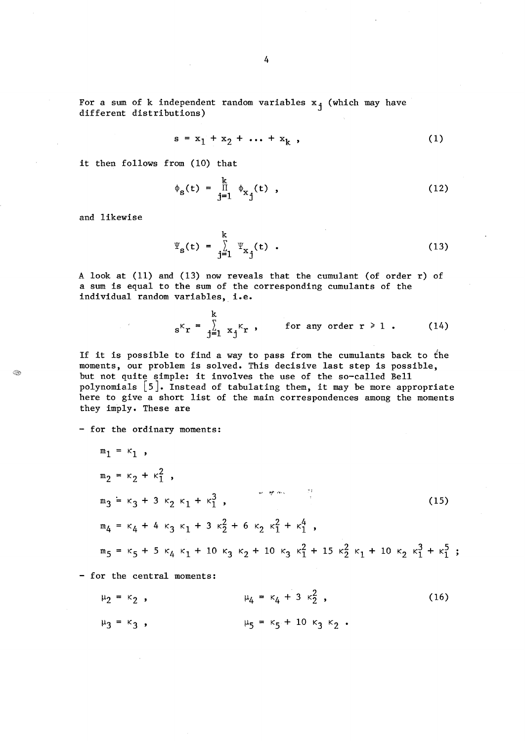For a sum of k independent random variables  $x_j$  (which may have different distributions)

$$
s = x_1 + x_2 + \dots + x_k \t{1}
$$

it then follows from (10) that

$$
\phi_{s}(t) = \prod_{j=1}^{k} \phi_{x_{j}}(t) , \qquad (12)
$$

and likewise

 $\sim$   $\sim$ 

G.

$$
\Psi_{s}(t) = \sum_{j=1}^{k} \Psi_{x_{j}}(t) . \qquad (13)
$$

A look at (11) and (13) now reveals that the cumulant (of order r) of a sum is equal to the sum of the corresponding cumulants of the individual random variables, i.e.

$$
s^{K}r = \sum_{j=1}^{k} x_{j}^{K}r
$$
, for any order  $r \ge 1$ . (14)

If it is possible to find a way to pass from the cumulants back to the moments, our problem is solved. This decisive last step is possible, but not quite simple: it involves the use of the so-called Bell polynomials [5]. Instead of tabulating them, it may be more appropriate here to give a short list of the main correspondences among the moments they imply. These are

- for the ordinary moments:

$$
m_1 = \kappa_1,
$$
  
\n
$$
m_2 = \kappa_2 + \kappa_1^2,
$$
  
\n
$$
m_3 = \kappa_3 + 3 \kappa_2 \kappa_1 + \kappa_1^3,
$$
  
\n
$$
m_4 = \kappa_4 + 4 \kappa_3 \kappa_1 + 3 \kappa_2^2 + 6 \kappa_2 \kappa_1^2 + \kappa_1^4,
$$
  
\n
$$
m_5 = \kappa_5 + 5 \kappa_4 \kappa_1 + 10 \kappa_3 \kappa_2 + 10 \kappa_3 \kappa_1^2 + 15 \kappa_2^2 \kappa_1 + 10 \kappa_2 \kappa_1^3 + \kappa_1^5 ;
$$

- for the central moments:

 $\mu_4 = \kappa_4 + 3 \kappa_2^2$ , (16)  $\mu_2 = \kappa_2$ ,  $\mu_5 = \kappa_5 + 10 \kappa_3 \kappa_2$ .  $\mu_3 = \kappa_3$ ,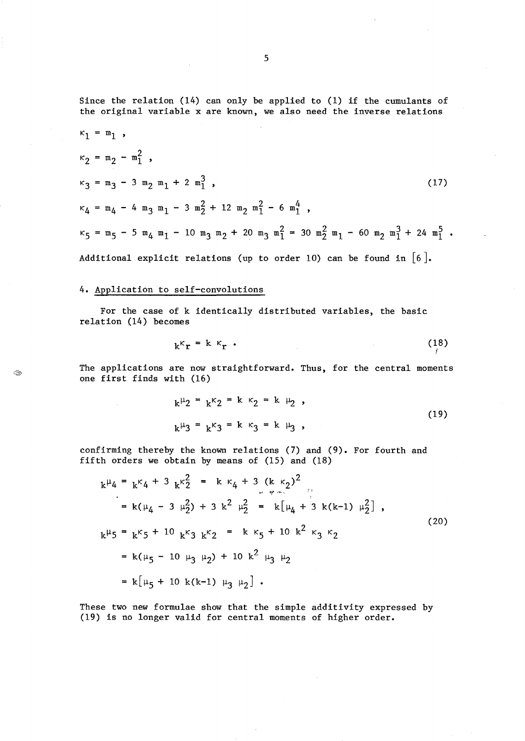Since the relation (14) can only be applied to (1) if the cumulants of the original variable x are known, we also need the inverse relations

$$
\kappa_1 = m_1 ,
$$
  
\n
$$
\kappa_2 = m_2 - m_1^2 ,
$$
  
\n
$$
\kappa_3 = m_3 - 3 m_2 m_1 + 2 m_1^3 ,
$$
  
\n
$$
\kappa_4 = m_4 - 4 m_3 m_1 - 3 m_2^2 + 12 m_2 m_1^2 - 6 m_1^4 ,
$$
  
\n
$$
\kappa_5 = m_5 - 5 m_4 m_1 - 10 m_3 m_2 + 20 m_3 m_1^2 = 30 m_2^2 m_1 - 60 m_2 m_1^3 + 24 m_1^5 .
$$
  
\nAdditional explicit relations (up to order 10) can be found in [6].

# 4. Application to self-convolutions

 $\sim$ 

Q

For the case of k identically distributed variables, the basic relation (14) becomes

$$
k^k r = k^k r \tag{18}
$$

The applications are now straightforward. Thus, for the central moments one first finds with (16)

$$
k^{\mu}2 = k^{\kappa}2 = k^{\kappa}2 = k^{\mu}2,
$$
  
\n
$$
k^{\mu}3 = k^{\kappa}3 = k^{\kappa}3 = k^{\mu}3,
$$
\n(19)

confirming thereby the known relations (7) and (9). For fourth and fifth orders we obtain by means of (IS) and (18)

$$
k^{\mu}4 = k^{\kappa}4 + 3 k^{\kappa}2 = k \kappa_4 + 3 (k \kappa_2)^2
$$
  
\n
$$
= k(\mu_4 - 3 \mu_2^2) + 3 k^2 \mu_2^2 = k[\mu_4 + 3 k(k-1) \mu_2^2],
$$
  
\n
$$
k^{\mu}5 = k^{\kappa}5 + 10 k^{\kappa}3 k^{\kappa}2 = k \kappa_5 + 10 k^2 \kappa_3 \kappa_2
$$
  
\n
$$
= k(\mu_5 - 10 \mu_3 \mu_2) + 10 k^2 \mu_3 \mu_2
$$
  
\n
$$
= k[\mu_5 + 10 k(k-1) \mu_3 \mu_2].
$$
 (20)

These two new formulae show that the simple additivity expressed by (19) is no longer valid for central moments of higher order.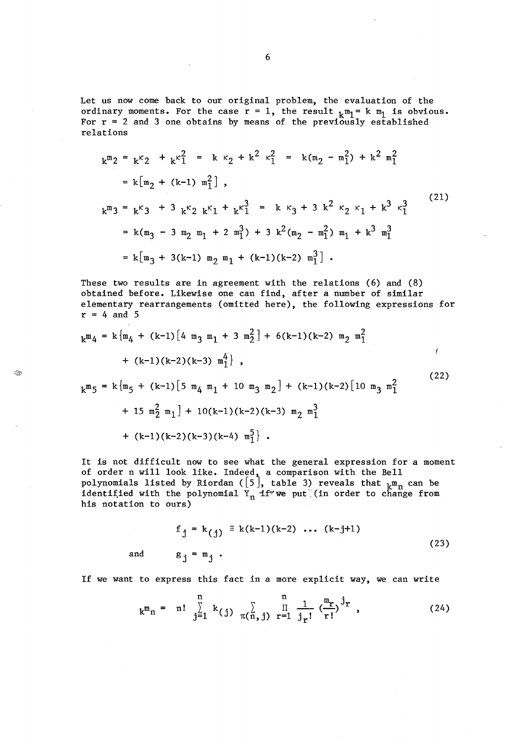Let us now come back to our original problem, the evaluation of the ordinary moments. For the case  $r = 1$ , the result  $k^m_1 = k^m_1$  is obvious. For  $r = 2$  and 3 one obtains by means of the previously established relations

$$
k^{m}2 = k^{k}2 + k^{k}1 = k k_{2} + k^{2} k_{1}^{2} = k(m_{2} - m_{1}^{2}) + k^{2} m_{1}^{2}
$$
  
\n
$$
= k[m_{2} + (k-1) m_{1}^{2}],
$$
  
\n
$$
k^{m}3 = k^{k}3 + 3 k^{k}2 k^{k}1 + k^{k}1^{3} = k k_{3} + 3 k^{2} k_{2} k_{1} + k^{3} k_{1}^{3}
$$
  
\n
$$
= k(m_{3} - 3 m_{2} m_{1} + 2 m_{1}^{3}) + 3 k^{2} (m_{2} - m_{1}^{2}) m_{1} + k^{3} m_{1}^{3}
$$
  
\n
$$
= k[m_{3} + 3(k-1) m_{2} m_{1} + (k-1)(k-2) m_{1}^{3}].
$$
 (21)

These two results are in agreement with the relations (6) and (8) obtained before. Likewise one can find, after a number of similar elementary rearrangements (omitted here), the following expressions for  $r = 4$  and 5

$$
k^{m}4 = k \{m_{4} + (k-1) [4 m_{3} m_{1} + 3 m_{2}^{2}] + 6(k-1)(k-2) m_{2} m_{1}^{2}
$$
  
+  $(k-1)(k-2)(k-3) m_{1}^{4}$ ;  

$$
k^{m}5 = k \{m_{5} + (k-1) [5 m_{4} m_{1} + 10 m_{3} m_{2}] + (k-1)(k-2) [10 m_{3} m_{1}^{2}
$$
  
+  $15 m_{2}^{2} m_{1}] + 10(k-1)(k-2)(k-3) m_{2} m_{1}^{3}$   
+  $(k-1)(k-2)(k-3)(k-4) m_{1}^{5}$ ].

Q

It is not difficult now to see what the general expression for a moment of order n will look like. Indeed, a comparison with the Bell polynomials listed by Riordan ( $[5]$ , table 3) reveals that  $_{\rm k}$ m $_{\rm n}$  can be identified with the polynomial  $Y_n$  if we put (in order to change from his notation to ours)

$$
f_j = k(j) = k(k-1)(k-2) \dots (k-j+1)
$$
  
and  $g_j = m_j$ . (23)

If we want to express this fact in a more explicit way, we can write

$$
k^{m}n = n! \sum_{j=1}^{n} k_{(j)} \sum_{\pi(n,j)} \prod_{r=1}^{n} \frac{1}{j_{r}!} (\frac{m_{r}}{r!})^{j_{r}},
$$
 (24)